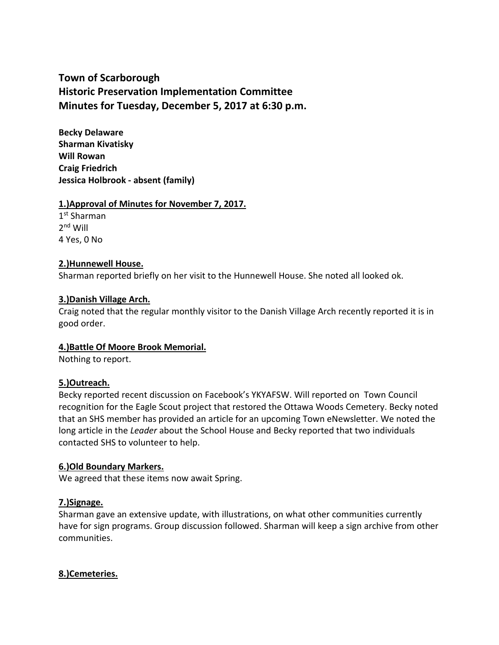# **Town of Scarborough Historic Preservation Implementation Committee Minutes for Tuesday, December 5, 2017 at 6:30 p.m.**

**Becky Delaware Sharman Kivatisky Will Rowan Craig Friedrich Jessica Holbrook - absent (family)**

# **1.)Approval of Minutes for November 7, 2017.**

1 st Sharman 2 nd Will 4 Yes, 0 No

# **2.)Hunnewell House.**

Sharman reported briefly on her visit to the Hunnewell House. She noted all looked ok.

# **3.)Danish Village Arch.**

Craig noted that the regular monthly visitor to the Danish Village Arch recently reported it is in good order.

#### **4.)Battle Of Moore Brook Memorial.**

Nothing to report.

#### **5.)Outreach.**

Becky reported recent discussion on Facebook's YKYAFSW. Will reported on Town Council recognition for the Eagle Scout project that restored the Ottawa Woods Cemetery. Becky noted that an SHS member has provided an article for an upcoming Town eNewsletter. We noted the long article in the *Leader* about the School House and Becky reported that two individuals contacted SHS to volunteer to help.

#### **6.)Old Boundary Markers.**

We agreed that these items now await Spring.

#### **7.)Signage.**

Sharman gave an extensive update, with illustrations, on what other communities currently have for sign programs. Group discussion followed. Sharman will keep a sign archive from other communities.

#### **8.)Cemeteries.**